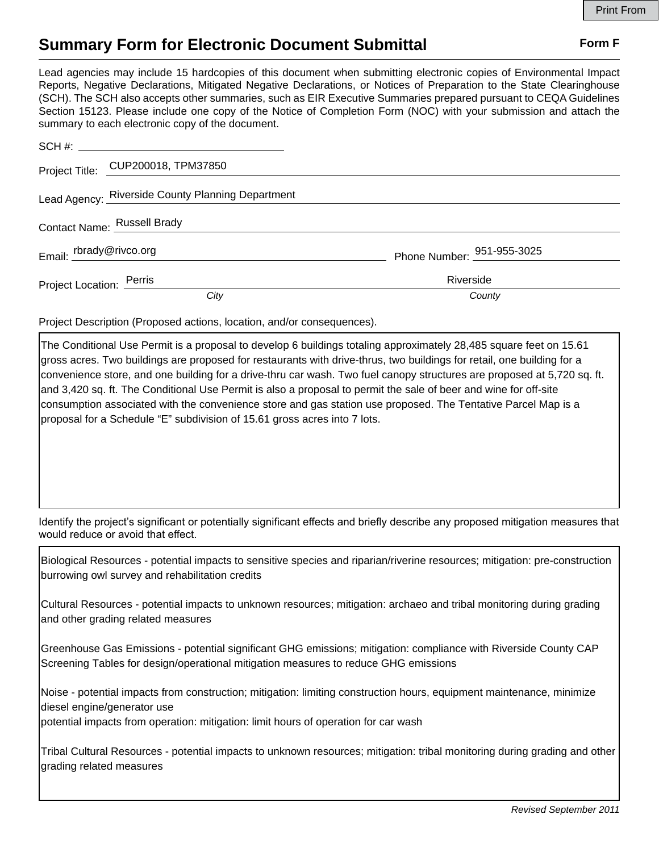## **Summary Form for Electronic Document Submittal Form F Form F**

Lead agencies may include 15 hardcopies of this document when submitting electronic copies of Environmental Impact Reports, Negative Declarations, Mitigated Negative Declarations, or Notices of Preparation to the State Clearinghouse (SCH). The SCH also accepts other summaries, such as EIR Executive Summaries prepared pursuant to CEQA Guidelines Section 15123. Please include one copy of the Notice of Completion Form (NOC) with your submission and attach the summary to each electronic copy of the document.

|                             | Project Title: CUP200018, TPM37850                |                            |
|-----------------------------|---------------------------------------------------|----------------------------|
|                             | Lead Agency: Riverside County Planning Department |                            |
| Contact Name: Russell Brady |                                                   |                            |
| Email: rbrady@rivco.org     |                                                   | Phone Number: 951-955-3025 |
| Project Location: Perris    |                                                   | Riverside                  |
|                             | City                                              | County                     |

Project Description (Proposed actions, location, and/or consequences).

The Conditional Use Permit is a proposal to develop 6 buildings totaling approximately 28,485 square feet on 15.61 gross acres. Two buildings are proposed for restaurants with drive-thrus, two buildings for retail, one building for a convenience store, and one building for a drive-thru car wash. Two fuel canopy structures are proposed at 5,720 sq. ft. and 3,420 sq. ft. The Conditional Use Permit is also a proposal to permit the sale of beer and wine for off-site consumption associated with the convenience store and gas station use proposed. The Tentative Parcel Map is a proposal for a Schedule "E" subdivision of 15.61 gross acres into 7 lots.

Identify the project's significant or potentially significant effects and briefly describe any proposed mitigation measures that would reduce or avoid that effect.

Biological Resources - potential impacts to sensitive species and riparian/riverine resources; mitigation: pre-construction burrowing owl survey and rehabilitation credits

Cultural Resources - potential impacts to unknown resources; mitigation: archaeo and tribal monitoring during grading and other grading related measures

Greenhouse Gas Emissions - potential significant GHG emissions; mitigation: compliance with Riverside County CAP Screening Tables for design/operational mitigation measures to reduce GHG emissions

Noise - potential impacts from construction; mitigation: limiting construction hours, equipment maintenance, minimize diesel engine/generator use

potential impacts from operation: mitigation: limit hours of operation for car wash

Tribal Cultural Resources - potential impacts to unknown resources; mitigation: tribal monitoring during grading and other grading related measures